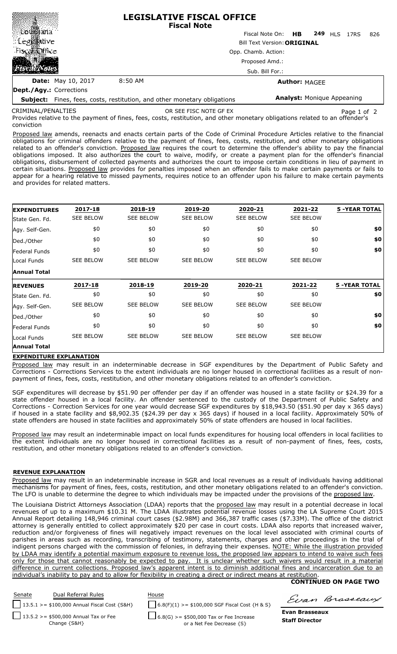|                                |                                                                                 |                                   | <b>LEGISLATIVE FISCAL OFFICE</b><br><b>Fiscal Note</b> |           |     |     |      |     |
|--------------------------------|---------------------------------------------------------------------------------|-----------------------------------|--------------------------------------------------------|-----------|-----|-----|------|-----|
| ≋ି£ot⊞yana                     |                                                                                 |                                   | Fiscal Note On:                                        | <b>HB</b> | 249 | HIS | 17RS | 826 |
| ∷Leg⊠∭ative                    |                                                                                 |                                   | <b>Bill Text Version: ORIGINAL</b>                     |           |     |     |      |     |
| Fiscal biffice                 |                                                                                 | Opp. Chamb. Action:               |                                                        |           |     |     |      |     |
|                                |                                                                                 | Proposed Amd.:<br>Sub. Bill For.: |                                                        |           |     |     |      |     |
|                                |                                                                                 |                                   |                                                        |           |     |     |      |     |
| <b>Dept./Agy.: Corrections</b> |                                                                                 |                                   |                                                        |           |     |     |      |     |
|                                | <b>Subject:</b> Fines, fees, costs, restitution, and other monetary obligations | <b>Analyst: Monique Appeaning</b> |                                                        |           |     |     |      |     |

related to an offender's conviction CRIMINAL/PENALTIES

OR SEE FISC NOTE GF EX Page 1 of 2

Provides relative to the payment of fines, fees, costs, restitution, and other monetary obligations related to an offender's conviction

Proposed law amends, reenacts and enacts certain parts of the Code of Criminal Procedure Articles relative to the financial obligations for criminal offenders relative to the payment of fines, fees, costs, restitution, and other monetary obligations related to an offender's conviction. Proposed law requires the court to determine the offender's ability to pay the financial obligations imposed. It also authorizes the court to waive, modify, or create a payment plan for the offender's financial obligations, disbursement of collected payments and authorizes the court to impose certain conditions in lieu of payment in certain situations. Proposed law provides for penalties imposed when an offender fails to make certain payments or fails to appear for a hearing relative to missed payments, requires notice to an offender upon his failure to make certain payments and provides for related matters.

| <b>EXPENDITURES</b> | 2017-18          | 2018-19          | 2019-20          | 2020-21          | 2021-22          | <b>5 -YEAR TOTAL</b> |
|---------------------|------------------|------------------|------------------|------------------|------------------|----------------------|
| State Gen. Fd.      | <b>SEE BELOW</b> | <b>SEE BELOW</b> | <b>SEE BELOW</b> | <b>SEE BELOW</b> | <b>SEE BELOW</b> |                      |
| Agy. Self-Gen.      | \$0              | \$0              | \$0              | \$0              | \$0              | \$0                  |
| Ded./Other          | \$0              | \$0              | \$0              | \$0              | \$0              | \$0                  |
| Federal Funds       | \$0              | \$0              | \$0              | \$0              | \$0              | \$0                  |
| Local Funds         | <b>SEE BELOW</b> | <b>SEE BELOW</b> | <b>SEE BELOW</b> | <b>SEE BELOW</b> | <b>SEE BELOW</b> |                      |
| <b>Annual Total</b> |                  |                  |                  |                  |                  |                      |
| <b>REVENUES</b>     | 2017-18          | 2018-19          | 2019-20          | 2020-21          | 2021-22          | <b>5 -YEAR TOTAL</b> |
|                     |                  |                  |                  |                  |                  |                      |
| State Gen. Fd.      | \$0              | \$0              | \$0              | \$0              | \$0              | \$0                  |
| Agy. Self-Gen.      | <b>SEE BELOW</b> | <b>SEE BELOW</b> | <b>SEE BELOW</b> | <b>SEE BELOW</b> | <b>SEE BELOW</b> |                      |
| Ded./Other          | \$0              | \$0              | \$0              | \$0              | \$0              | \$0                  |
| Federal Funds       | \$0              | \$0              | \$0              | \$0              | \$0              | \$0                  |
| Local Funds         | <b>SEE BELOW</b> | <b>SEE BELOW</b> | <b>SEE BELOW</b> | <b>SEE BELOW</b> | <b>SEE BELOW</b> |                      |

## **EXPENDITURE EXPLANATION**

Proposed law may result in an indeterminable decrease in SGF expenditures by the Department of Public Safety and Corrections - Corrections Services to the extent individuals are no longer housed in correctional facilities as a result of nonpayment of fines, fees, costs, restitution, and other monetary obligations related to an offender's conviction.

SGF expenditures will decrease by \$51.90 per offender per day if an offender was housed in a state facility or \$24.39 for a state offender housed in a local facility. An offender sentenced to the custody of the Department of Public Safety and Corrections - Correction Services for one year would decrease SGF expenditures by \$18,943.50 (\$51.90 per day x 365 days) if housed in a state facility and \$8,902.35 (\$24.39 per day x 365 days) if housed in a local facility. Approximately 50% of state offenders are housed in state facilities and approximately 50% of state offenders are housed in local facilities.

Proposed law may result an indeterminable impact on local funds expenditures for housing local offenders in local facilities to the extent individuals are no longer housed in correctional facilities as a result of non-payment of fines, fees, costs, restitution, and other monetary obligations related to an offender's conviction.

## **REVENUE EXPLANATION**

Proposed law may result in an indeterminable increase in SGR and local revenues as a result of individuals having additional mechanisms for payment of fines, fees, costs, restitution, and other monetary obligations related to an offender's conviction. The LFO is unable to determine the degree to which individuals may be impacted under the provisions of the proposed law.

The Louisiana District Attorneys Association (LDAA) reports that the proposed law may result in a potential decrease in local revenues of up to a maximum \$10.31 M. The LDAA illustrates potential revenue losses using the LA Supreme Court 2015 Annual Report detailing 148,946 criminal court cases (\$2.98M) and 366,387 traffic cases (\$7.33M). The office of the district attorney is generally entitled to collect approximately \$20 per case in court costs. LDAA also reports that increased waiver reduction and/or forgiveness of fines will negatively impact revenues on the local level associated with criminal courts of parishes in areas such as recording, transcribing of testimony, statements, charges and other proceedings in the trial of indigent persons charged with the commission of felonies, in defraying their expenses. NOTE: While the illustration provided by LDAA may identify a potential maximum exposure to revenue loss, the proposed law appears to intend to waive such fees only for those that cannot reasonably be expected to pay. It is unclear whether such waivers would result in a material difference in current collections. Proposed law's apparent intent is to diminish additional fines and incarceration due to an individual's inability to pay and to allow for flexibility in creating a direct or indirect means at restitution.

## **CONTINUED ON PAGE TWO**



Evan Brasseaux

**Evan Brasseaux Staff Director**